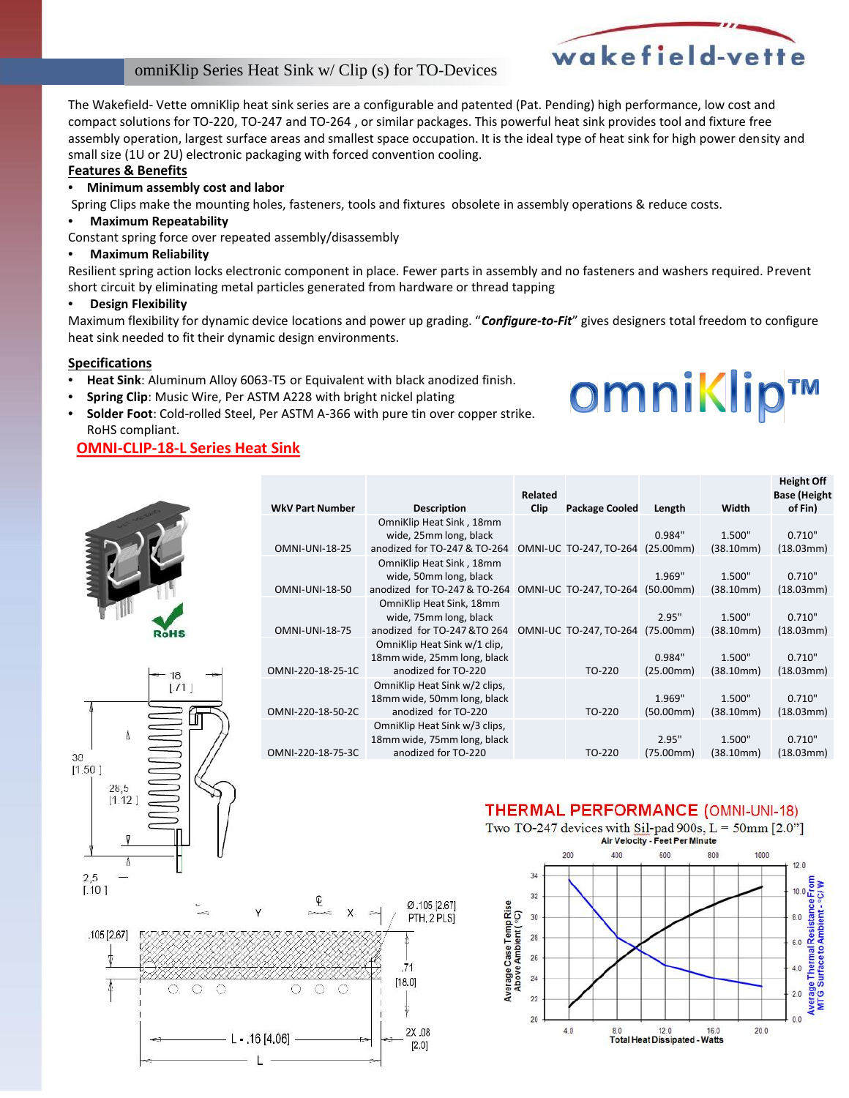#### omniKlip Series Heat Sink w/ Clip (s) for TO-Devices

The Wakefield- Vette omniKlip heat sink series are a configurable and patented (Pat. Pending) high performance, low cost and compact solutions for TO-220, TO-247 and TO-264 , or similar packages. This powerful heat sink provides tool and fixture free assembly operation, largest surface areas and smallest space occupation. It is the ideal type of heat sink for high power density and small size (1U or 2U) electronic packaging with forced convention cooling.

#### **Features & Benefits**

#### • **Minimum assembly cost and labor**

Spring Clips make the mounting holes, fasteners, tools and fixtures obsolete in assembly operations & reduce costs.

#### • **Maximum Repeatability**

Constant spring force over repeated assembly/disassembly

#### • **Maximum Reliability**

Resilient spring action locks electronic component in place. Fewer parts in assembly and no fasteners and washers required. Prevent short circuit by eliminating metal particles generated from hardware or thread tapping

#### • **Design Flexibility**

Maximum flexibility for dynamic device locations and power up grading. "*Configure-to-Fit*" gives designers total freedom to configure heat sink needed to fit their dynamic design environments.

#### **Specifications**

 $3\mathrm{0}$  $[1.50]$ 

> 28.5  $1112$

- **Heat Sink**: Aluminum Alloy 6063-T5 or Equivalent with black anodized finish.
- **Spring Clip**: Music Wire, Per ASTM A228 with bright nickel plating
- **Solder Foot**: Cold-rolled Steel, Per ASTM A-366 with pure tin over copper strike. RoHS compliant.

#### **OMNI-CLIP-18-L Series Heat Sink**



|                                            | <b>OMNI-UNI-18-25</b> | OmniKlip Heat Sink, 18mm<br>wide, 25mm long, black<br>anodized for TO-247 & TO-264  | OMNI-UC TO-247, TO-264 (25.00mm) | 0.984"              | 1.500"<br>(38.10mm) | 0.710"<br>(18.03mm) |
|--------------------------------------------|-----------------------|-------------------------------------------------------------------------------------|----------------------------------|---------------------|---------------------|---------------------|
|                                            | <b>OMNI-UNI-18-50</b> | OmniKlip Heat Sink, 18mm<br>wide, 50mm long, black<br>anodized for TO-247 & TO-264  | OMNI-UC TO-247, TO-264           | 1.969"<br>(50.00mm) | 1.500"<br>(38.10mm) | 0.710"<br>(18.03mm) |
| <b>RoHS</b>                                | <b>OMNI-UNI-18-75</b> | OmniKlip Heat Sink, 18mm<br>wide, 75mm long, black<br>anodized for TO-247 &TO 264   | OMNI-UC TO-247, TO-264 (75.00mm) | 2.95"               | 1.500"<br>(38.10mm) | 0.710"<br>(18.03mm) |
| 18<br>$\lfloor .11 \rfloor$<br><b>UNDO</b> | OMNI-220-18-25-1C     | OmniKlip Heat Sink w/1 clip,<br>18mm wide, 25mm long, black<br>anodized for TO-220  | TO-220                           | 0.984"<br>(25.00mm) | 1.500"<br>(38.10mm) | 0.710"<br>(18.03mm) |
|                                            | OMNI-220-18-50-2C     | OmniKlip Heat Sink w/2 clips,<br>18mm wide, 50mm long, black<br>anodized for TO-220 | TO-220                           | 1.969"<br>(50.00mm) | 1.500"<br>(38.10mm) | 0.710"<br>(18.03mm) |
|                                            | OMNI-220-18-75-3C     | OmniKlip Heat Sink w/3 clips,<br>18mm wide, 75mm long, black<br>anodized for TO-220 | TO-220                           | 2.95"<br>(75.00mm)  | 1.500"<br>(38.10mm) | 0.710"<br>(18.03mm) |

#### **THERMAL PERFORMANCE (OMNI-UNI-18)**





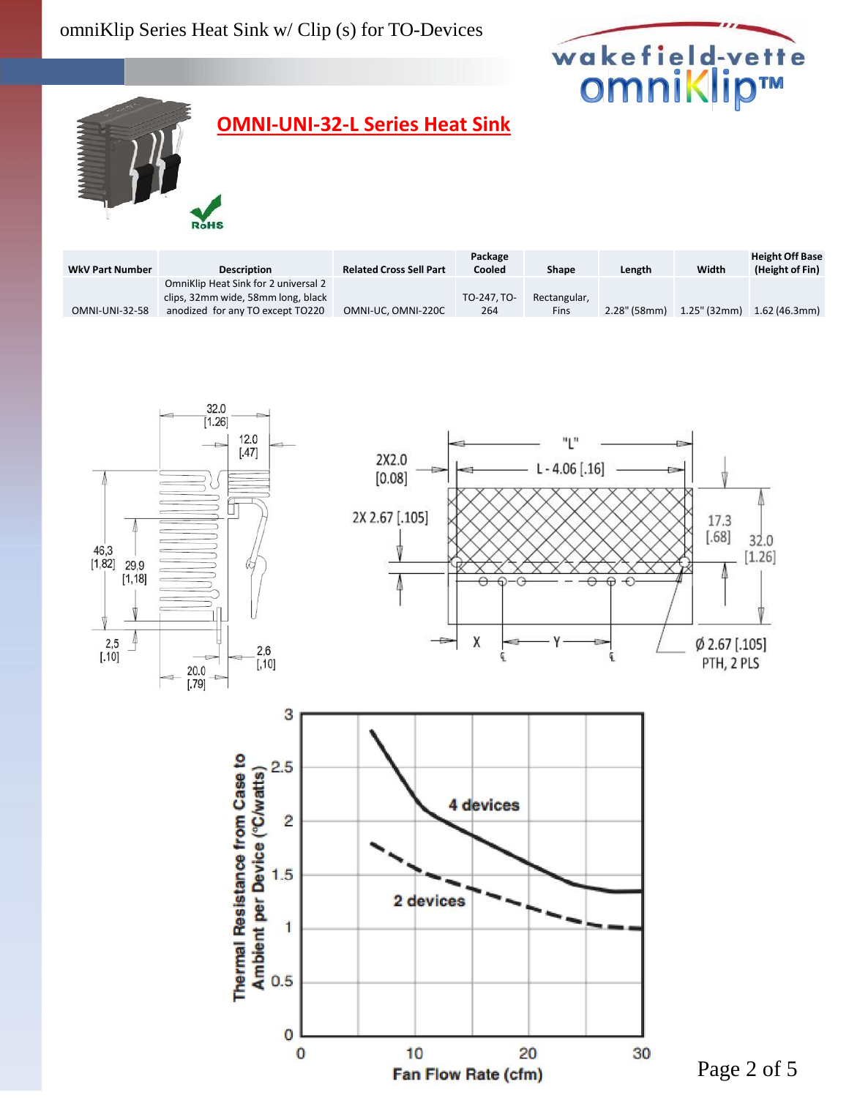## omniKlip Series Heat Sink w/ Clip (s) for TO-Devices



# **OMNI-UNI-32-L Series Heat Sink**

**RoHS** 

| <b>WkV Part Number</b> | <b>Description</b>                   | <b>Related Cross Sell Part</b> | Package<br>Cooled | Shape        | Length          | Width           | <b>Height Off Base</b><br>(Height of Fin) |
|------------------------|--------------------------------------|--------------------------------|-------------------|--------------|-----------------|-----------------|-------------------------------------------|
|                        | OmniKlip Heat Sink for 2 universal 2 |                                |                   |              |                 |                 |                                           |
|                        | clips, 32mm wide, 58mm long, black   |                                | TO-247. TO-       | Rectangular, |                 |                 |                                           |
| <b>OMNI-UNI-32-58</b>  | anodized for any TO except TO220     | OMNI-UC, OMNI-220C             | 264               | Fins         | $2.28$ " (58mm) | $1.25$ " (32mm) | 1.62 (46.3mm)                             |

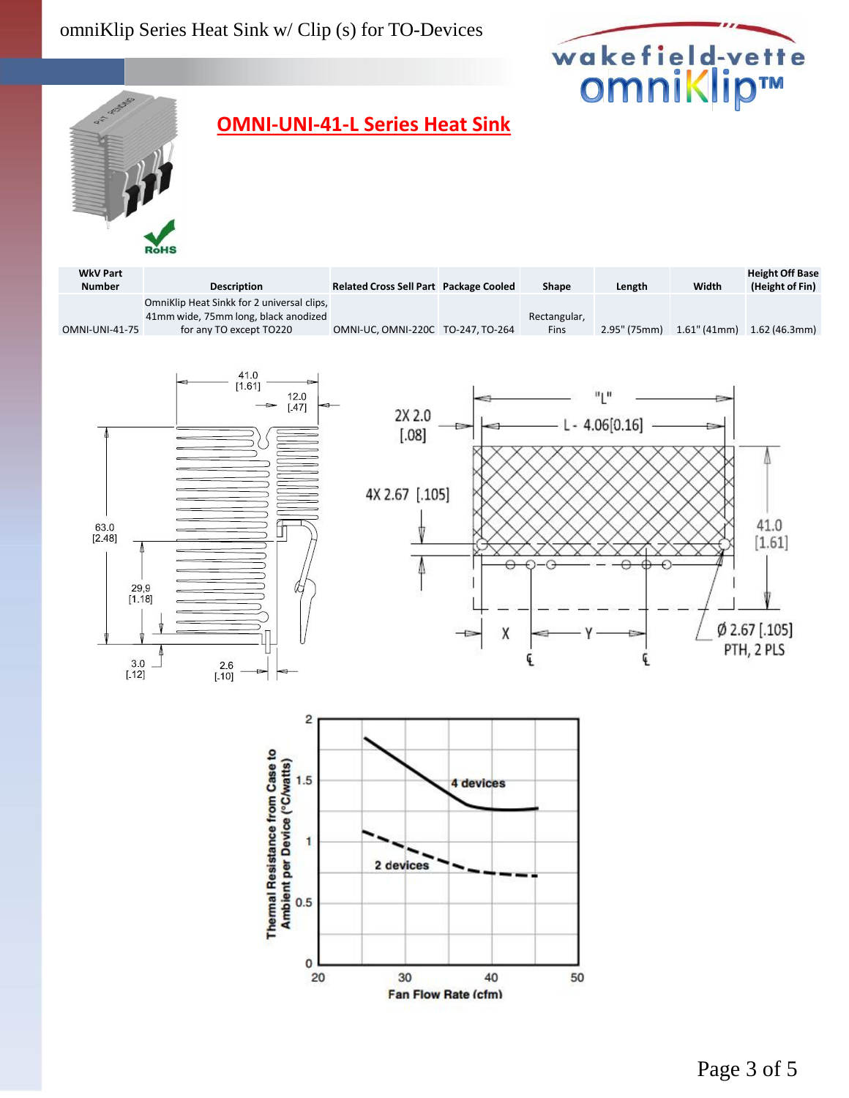



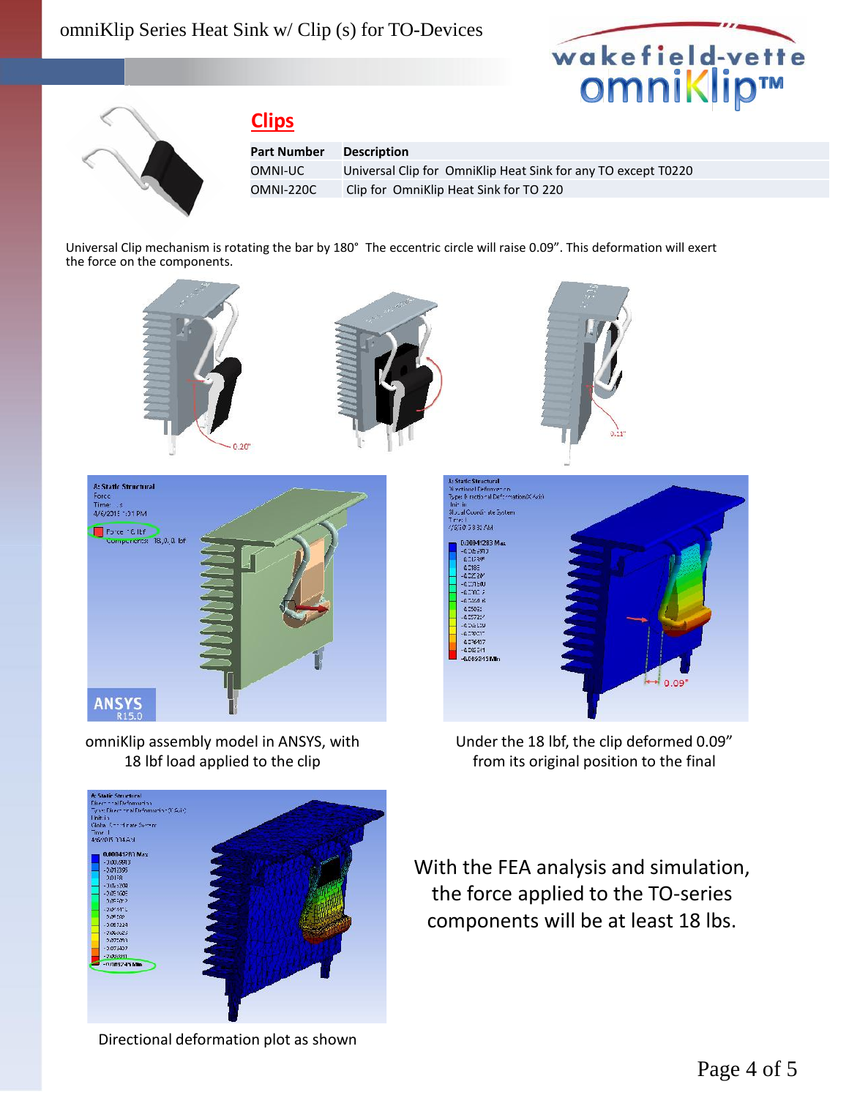



## **Clips**

**Part Number Description**

OMNI-UC Universal Clip for OmniKlip Heat Sink for any TO except T0220 OMNI-220C Clip for OmniKlip Heat Sink for TO 220

Universal Clip mechanism is rotating the bar by 180° The eccentric circle will raise 0.09". This deformation will exert the force on the components.







omniKlip assembly model in ANSYS, with 18 lbf load applied to the clip



Under the 18 lbf, the clip deformed 0.09" from its original position to the final



With the FEA analysis and simulation, the force applied to the TO-series components will be at least 18 lbs.

Directional deformation plot as shown